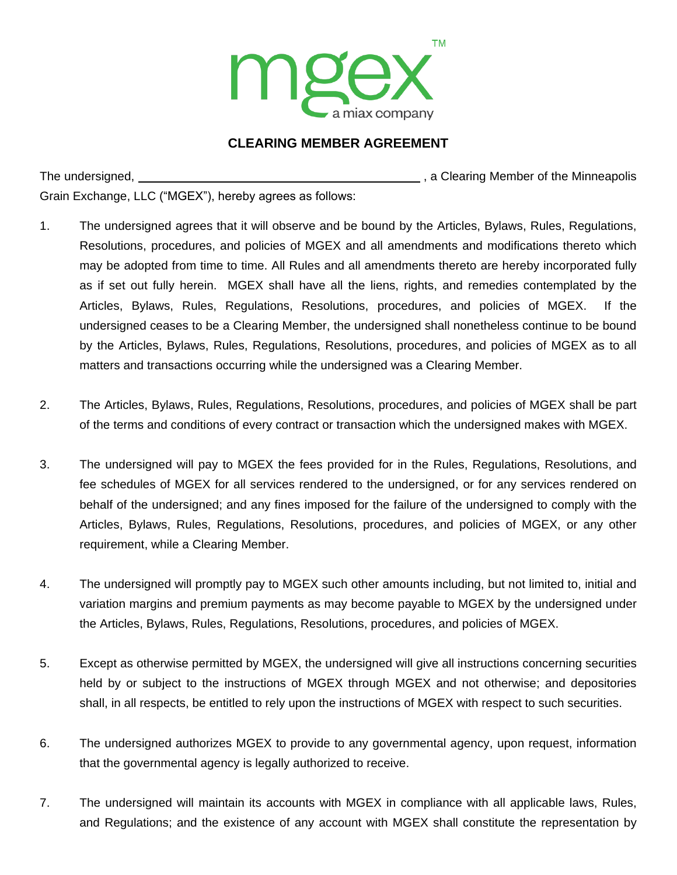

## **CLEARING MEMBER AGREEMENT**

The undersigned, , a Clearing Member of the Minneapolis Grain Exchange, LLC ("MGEX"), hereby agrees as follows:

- 1. The undersigned agrees that it will observe and be bound by the Articles, Bylaws, Rules, Regulations, Resolutions, procedures, and policies of MGEX and all amendments and modifications thereto which may be adopted from time to time. All Rules and all amendments thereto are hereby incorporated fully as if set out fully herein. MGEX shall have all the liens, rights, and remedies contemplated by the Articles, Bylaws, Rules, Regulations, Resolutions, procedures, and policies of MGEX. If the undersigned ceases to be a Clearing Member, the undersigned shall nonetheless continue to be bound by the Articles, Bylaws, Rules, Regulations, Resolutions, procedures, and policies of MGEX as to all matters and transactions occurring while the undersigned was a Clearing Member.
- 2. The Articles, Bylaws, Rules, Regulations, Resolutions, procedures, and policies of MGEX shall be part of the terms and conditions of every contract or transaction which the undersigned makes with MGEX.
- 3. The undersigned will pay to MGEX the fees provided for in the Rules, Regulations, Resolutions, and fee schedules of MGEX for all services rendered to the undersigned, or for any services rendered on behalf of the undersigned; and any fines imposed for the failure of the undersigned to comply with the Articles, Bylaws, Rules, Regulations, Resolutions, procedures, and policies of MGEX, or any other requirement, while a Clearing Member.
- 4. The undersigned will promptly pay to MGEX such other amounts including, but not limited to, initial and variation margins and premium payments as may become payable to MGEX by the undersigned under the Articles, Bylaws, Rules, Regulations, Resolutions, procedures, and policies of MGEX.
- 5. Except as otherwise permitted by MGEX, the undersigned will give all instructions concerning securities held by or subject to the instructions of MGEX through MGEX and not otherwise; and depositories shall, in all respects, be entitled to rely upon the instructions of MGEX with respect to such securities.
- 6. The undersigned authorizes MGEX to provide to any governmental agency, upon request, information that the governmental agency is legally authorized to receive.
- 7. The undersigned will maintain its accounts with MGEX in compliance with all applicable laws, Rules, and Regulations; and the existence of any account with MGEX shall constitute the representation by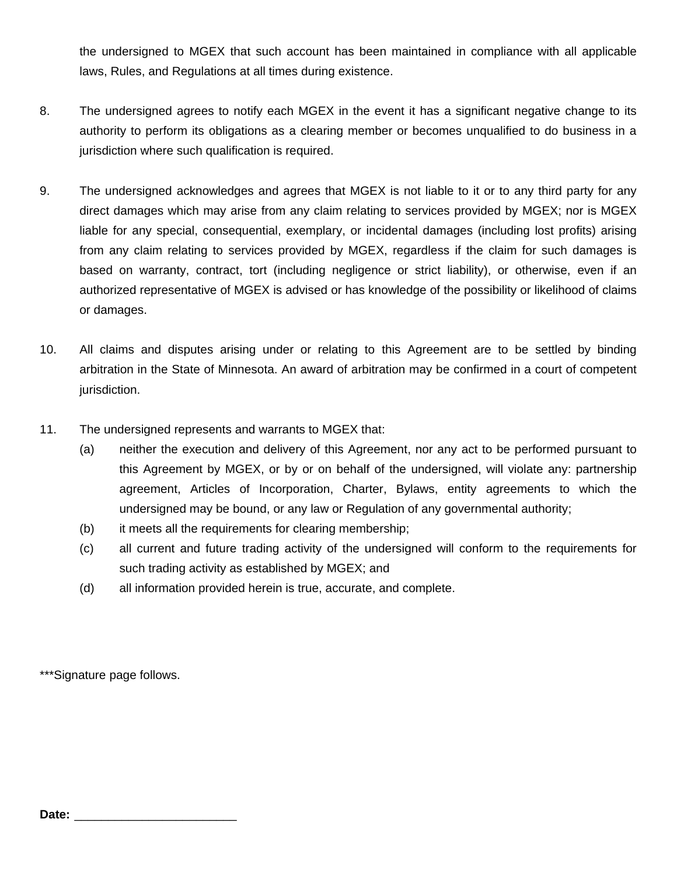the undersigned to MGEX that such account has been maintained in compliance with all applicable laws, Rules, and Regulations at all times during existence.

- 8. The undersigned agrees to notify each MGEX in the event it has a significant negative change to its authority to perform its obligations as a clearing member or becomes unqualified to do business in a jurisdiction where such qualification is required.
- 9. The undersigned acknowledges and agrees that MGEX is not liable to it or to any third party for any direct damages which may arise from any claim relating to services provided by MGEX; nor is MGEX liable for any special, consequential, exemplary, or incidental damages (including lost profits) arising from any claim relating to services provided by MGEX, regardless if the claim for such damages is based on warranty, contract, tort (including negligence or strict liability), or otherwise, even if an authorized representative of MGEX is advised or has knowledge of the possibility or likelihood of claims or damages.
- 10. All claims and disputes arising under or relating to this Agreement are to be settled by binding arbitration in the State of Minnesota. An award of arbitration may be confirmed in a court of competent jurisdiction.
- 11. The undersigned represents and warrants to MGEX that:
	- (a) neither the execution and delivery of this Agreement, nor any act to be performed pursuant to this Agreement by MGEX, or by or on behalf of the undersigned, will violate any: partnership agreement, Articles of Incorporation, Charter, Bylaws, entity agreements to which the undersigned may be bound, or any law or Regulation of any governmental authority;
	- (b) it meets all the requirements for clearing membership;
	- (c) all current and future trading activity of the undersigned will conform to the requirements for such trading activity as established by MGEX; and
	- (d) all information provided herein is true, accurate, and complete.

\*\*\*Signature page follows.